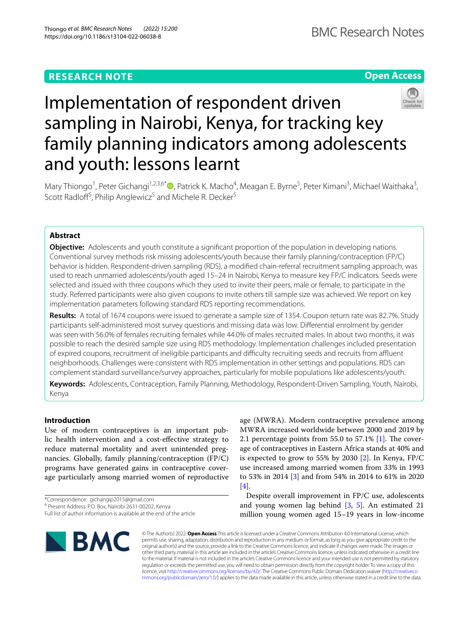# **RESEARCH NOTE**

# **Open Access**



# Implementation of respondent driven sampling in Nairobi, Kenya, for tracking key family planning indicators among adolescents and youth: lessons learnt

Mary Thiongo<sup>1</sup>[,](http://orcid.org/0000-0001-9636-165X) Peter Gichangi<sup>1,2,3,6\*</sup> D, Patrick K. Macho<sup>4</sup>, Meagan E. Byrne<sup>5</sup>, Peter Kimani<sup>3</sup>, Michael Waithaka<sup>3</sup>, Scott Radloff<sup>5</sup>, Philip Anglewicz<sup>5</sup> and Michele R. Decker<sup>5</sup>

# **Abstract**

**Objective:** Adolescents and youth constitute a signifcant proportion of the population in developing nations. Conventional survey methods risk missing adolescents/youth because their family planning/contraception (FP/C) behavior is hidden. Respondent-driven sampling (RDS), a modifed chain-referral recruitment sampling approach, was used to reach unmarried adolescents/youth aged 15–24 in Nairobi, Kenya to measure key FP/C indicators. Seeds were selected and issued with three coupons which they used to invite their peers, male or female, to participate in the study. Referred participants were also given coupons to invite others till sample size was achieved. We report on key implementation parameters following standard RDS reporting recommendations.

**Results:** A total of 1674 coupons were issued to generate a sample size of 1354. Coupon return rate was 82.7%. Study participants self-administered most survey questions and missing data was low. Diferential enrolment by gender was seen with 56.0% of females recruiting females while 44.0% of males recruited males. In about two months, it was possible to reach the desired sample size using RDS methodology. Implementation challenges included presentation of expired coupons, recruitment of ineligible participants and difficulty recruiting seeds and recruits from affluent neighborhoods. Challenges were consistent with RDS implementation in other settings and populations. RDS can complement standard surveillance/survey approaches, particularly for mobile populations like adolescents/youth.

**Keywords:** Adolescents, Contraception, Family Planning, Methodology, Respondent-Driven Sampling, Youth, Nairobi, Kenya

# **Introduction**

Use of modern contraceptives is an important public health intervention and a cost-efective strategy to reduce maternal mortality and avert unintended pregnancies. Globally, family planning/contraception (FP/C) programs have generated gains in contraceptive coverage particularly among married women of reproductive

\*Correspondence: gichangip2015@gmail.com

Despite overall improvement in FP/C use, adolescents and young women lag behind  $[3, 5]$  $[3, 5]$  $[3, 5]$ . An estimated 21 million young women aged 15–19 years in low-income



© The Author(s) 2022. **Open Access** This article is licensed under a Creative Commons Attribution 4.0 International License, which permits use, sharing, adaptation, distribution and reproduction in any medium or format, as long as you give appropriate credit to the original author(s) and the source, provide a link to the Creative Commons licence, and indicate if changes were made. The images or other third party material in this article are included in the article's Creative Commons licence, unless indicated otherwise in a credit line to the material. If material is not included in the article's Creative Commons licence and your intended use is not permitted by statutory regulation or exceeds the permitted use, you will need to obtain permission directly from the copyright holder. To view a copy of this licence, visit [http://creativecommons.org/licenses/by/4.0/.](http://creativecommons.org/licenses/by/4.0/) The Creative Commons Public Domain Dedication waiver ([http://creativeco](http://creativecommons.org/publicdomain/zero/1.0/) [mmons.org/publicdomain/zero/1.0/](http://creativecommons.org/publicdomain/zero/1.0/)) applies to the data made available in this article, unless otherwise stated in a credit line to the data.

<sup>6</sup> Present Address: P.O. Box, Nairobi 2631-00202, Kenya Full list of author information is available at the end of the article

age (MWRA). Modern contraceptive prevalence among MWRA increased worldwide between 2000 and 2019 by 2.1 percentage points from 55.0 to 57.1%  $[1]$  $[1]$ . The coverage of contraceptives in Eastern Africa stands at 40% and is expected to grow to 55% by 2030 [[2\]](#page-5-1). In Kenya, FP/C use increased among married women from 33% in 1993 to 53% in 2014 [\[3](#page-5-2)] and from 54% in 2014 to 61% in 2020 [[4\]](#page-5-3).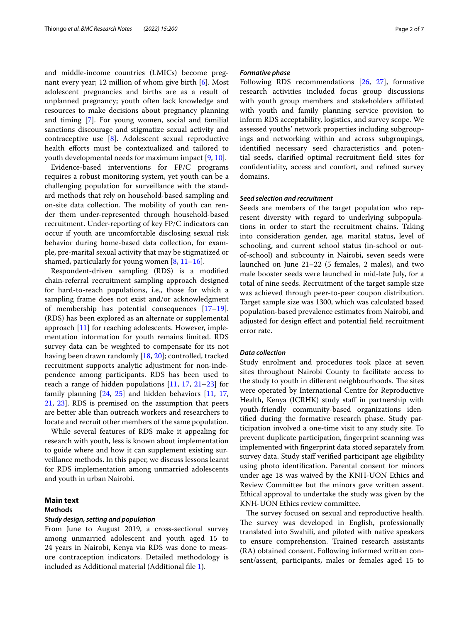and middle-income countries (LMICs) become pregnant every year; 12 million of whom give birth [[6\]](#page-5-5). Most adolescent pregnancies and births are as a result of unplanned pregnancy; youth often lack knowledge and resources to make decisions about pregnancy planning and timing [\[7](#page-5-6)]. For young women, social and familial sanctions discourage and stigmatize sexual activity and contraceptive use [\[8\]](#page-5-7). Adolescent sexual reproductive health efforts must be contextualized and tailored to youth developmental needs for maximum impact [\[9](#page-5-8), [10\]](#page-5-9).

Evidence-based interventions for FP/C programs requires a robust monitoring system, yet youth can be a challenging population for surveillance with the standard methods that rely on household-based sampling and on-site data collection. The mobility of youth can render them under-represented through household-based recruitment. Under-reporting of key FP/C indicators can occur if youth are uncomfortable disclosing sexual risk behavior during home-based data collection, for example, pre-marital sexual activity that may be stigmatized or shamed, particularly for young women  $[8, 11-16]$  $[8, 11-16]$  $[8, 11-16]$  $[8, 11-16]$ .

Respondent-driven sampling (RDS) is a modifed chain-referral recruitment sampling approach designed for hard-to-reach populations, i.e., those for which a sampling frame does not exist and/or acknowledgment of membership has potential consequences [[17](#page-5-12)[–19](#page-5-13)]. (RDS) has been explored as an alternate or supplemental approach [[11\]](#page-5-10) for reaching adolescents. However, implementation information for youth remains limited. RDS survey data can be weighted to compensate for its not having been drawn randomly [\[18](#page-5-14), [20\]](#page-5-15); controlled, tracked recruitment supports analytic adjustment for non-independence among participants. RDS has been used to reach a range of hidden populations [\[11](#page-5-10), [17,](#page-5-12) [21](#page-5-16)[–23](#page-5-17)] for family planning [[24,](#page-5-18) [25\]](#page-5-19) and hidden behaviors [\[11](#page-5-10), [17](#page-5-12), [21,](#page-5-16) [23](#page-5-17)]. RDS is premised on the assumption that peers are better able than outreach workers and researchers to locate and recruit other members of the same population.

While several features of RDS make it appealing for research with youth, less is known about implementation to guide where and how it can supplement existing surveillance methods. In this paper, we discuss lessons learnt for RDS implementation among unmarried adolescents and youth in urban Nairobi.

# **Main text**

# **Methods**

# *Study design, setting and population*

From June to August 2019, a cross-sectional survey among unmarried adolescent and youth aged 15 to 24 years in Nairobi, Kenya via RDS was done to measure contraception indicators. Detailed methodology is included as Additional material (Additional fle [1\)](#page-4-0).

# *Formative phase*

Following RDS recommendations [\[26](#page-5-20), [27\]](#page-5-21), formative research activities included focus group discussions with youth group members and stakeholders affiliated with youth and family planning service provision to inform RDS acceptability, logistics, and survey scope. We assessed youths' network properties including subgroupings and networking within and across subgroupings, identifed necessary seed characteristics and potential seeds, clarifed optimal recruitment feld sites for confdentiality, access and comfort, and refned survey domains.

# *Seed selection and recruitment*

Seeds are members of the target population who represent diversity with regard to underlying subpopulations in order to start the recruitment chains. Taking into consideration gender, age, marital status, level of schooling, and current school status (in-school or outof-school) and subcounty in Nairobi, seven seeds were launched on June 21–22 (5 females, 2 males), and two male booster seeds were launched in mid-late July, for a total of nine seeds. Recruitment of the target sample size was achieved through peer-to-peer coupon distribution. Target sample size was 1300, which was calculated based population-based prevalence estimates from Nairobi, and adjusted for design efect and potential feld recruitment error rate.

# *Data collection*

Study enrolment and procedures took place at seven sites throughout Nairobi County to facilitate access to the study to youth in different neighbourhoods. The sites were operated by International Centre for Reproductive Health, Kenya (ICRHK) study staff in partnership with youth-friendly community-based organizations identifed during the formative research phase. Study participation involved a one-time visit to any study site. To prevent duplicate participation, fngerprint scanning was implemented with fngerprint data stored separately from survey data. Study staff verified participant age eligibility using photo identifcation. Parental consent for minors under age 18 was waived by the KNH-UON Ethics and Review Committee but the minors gave written assent. Ethical approval to undertake the study was given by the KNH-UON Ethics review committee.

The survey focused on sexual and reproductive health. The survey was developed in English, professionally translated into Swahili, and piloted with native speakers to ensure comprehension. Trained research assistants (RA) obtained consent. Following informed written consent/assent, participants, males or females aged 15 to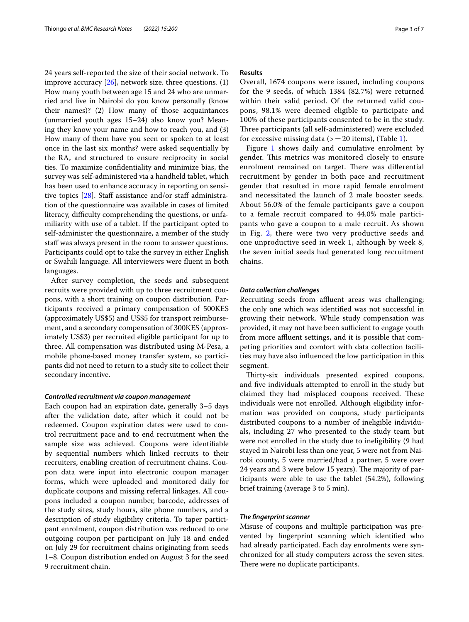24 years self-reported the size of their social network. To improve accuracy  $[26]$  $[26]$ , network size. three questions. (1) How many youth between age 15 and 24 who are unmarried and live in Nairobi do you know personally (know their names)? (2) How many of those acquaintances (unmarried youth ages 15–24) also know you? Meaning they know your name and how to reach you, and (3) How many of them have you seen or spoken to at least once in the last six months? were asked sequentially by the RA, and structured to ensure reciprocity in social ties. To maximize confdentiality and minimize bias, the survey was self-administered via a handheld tablet, which has been used to enhance accuracy in reporting on sensitive topics  $[28]$  $[28]$ . Staff assistance and/or staff administration of the questionnaire was available in cases of limited literacy, difficulty comprehending the questions, or unfamiliarity with use of a tablet. If the participant opted to self-administer the questionnaire, a member of the study staff was always present in the room to answer questions. Participants could opt to take the survey in either English or Swahili language. All interviewers were fuent in both languages.

After survey completion, the seeds and subsequent recruits were provided with up to three recruitment coupons, with a short training on coupon distribution. Participants received a primary compensation of 500KES (approximately US\$5) and US\$5 for transport reimbursement, and a secondary compensation of 300KES (approximately US\$3) per recruited eligible participant for up to three. All compensation was distributed using M-Pesa, a mobile phone-based money transfer system, so participants did not need to return to a study site to collect their secondary incentive.

#### *Controlled recruitment via coupon management*

Each coupon had an expiration date, generally 3–5 days after the validation date, after which it could not be redeemed. Coupon expiration dates were used to control recruitment pace and to end recruitment when the sample size was achieved. Coupons were identifable by sequential numbers which linked recruits to their recruiters, enabling creation of recruitment chains. Coupon data were input into electronic coupon manager forms, which were uploaded and monitored daily for duplicate coupons and missing referral linkages. All coupons included a coupon number, barcode, addresses of the study sites, study hours, site phone numbers, and a description of study eligibility criteria. To taper participant enrolment, coupon distribution was reduced to one outgoing coupon per participant on July 18 and ended on July 29 for recruitment chains originating from seeds 1–8. Coupon distribution ended on August 3 for the seed 9 recruitment chain.

# **Results**

Overall, 1674 coupons were issued, including coupons for the 9 seeds, of which 1384 (82.7%) were returned within their valid period. Of the returned valid coupons, 98.1% were deemed eligible to participate and 100% of these participants consented to be in the study. Three participants (all self-administered) were excluded for excessive missing data  $(>=20$  items), (Table [1](#page-3-0)).

Figure [1](#page-3-1) shows daily and cumulative enrolment by gender. This metrics was monitored closely to ensure enrolment remained on target. There was differential recruitment by gender in both pace and recruitment gender that resulted in more rapid female enrolment and necessitated the launch of 2 male booster seeds. About 56.0% of the female participants gave a coupon to a female recruit compared to 44.0% male participants who gave a coupon to a male recruit. As shown in Fig. [2](#page-4-1), there were two very productive seeds and one unproductive seed in week 1, although by week 8, the seven initial seeds had generated long recruitment chains.

# *Data collection challenges*

Recruiting seeds from affluent areas was challenging; the only one which was identifed was not successful in growing their network. While study compensation was provided, it may not have been sufficient to engage youth from more affluent settings, and it is possible that competing priorities and comfort with data collection facilities may have also infuenced the low participation in this segment.

Thirty-six individuals presented expired coupons, and fve individuals attempted to enroll in the study but claimed they had misplaced coupons received. These individuals were not enrolled. Although eligibility information was provided on coupons, study participants distributed coupons to a number of ineligible individuals, including 27 who presented to the study team but were not enrolled in the study due to ineligibility (9 had stayed in Nairobi less than one year, 5 were not from Nairobi county, 5 were married/had a partner, 5 were over 24 years and 3 were below 15 years). The majority of participants were able to use the tablet (54.2%), following brief training (average 3 to 5 min).

#### *The fngerprint scanner*

Misuse of coupons and multiple participation was prevented by fngerprint scanning which identifed who had already participated. Each day enrolments were synchronized for all study computers across the seven sites. There were no duplicate participants.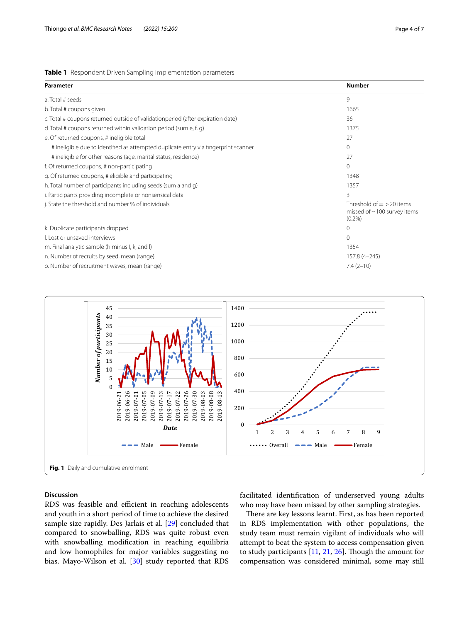<span id="page-3-0"></span>

|  | Table 1 Respondent Driven Sampling implementation parameters |  |  |  |  |
|--|--------------------------------------------------------------|--|--|--|--|
|--|--------------------------------------------------------------|--|--|--|--|

| Parameter                                                                           | <b>Number</b>                                                                 |  |
|-------------------------------------------------------------------------------------|-------------------------------------------------------------------------------|--|
| a. Total # seeds                                                                    | 9                                                                             |  |
| b. Total # coupons given                                                            | 1665                                                                          |  |
| c. Total # coupons returned outside of validationperiod (after expiration date)     | 36                                                                            |  |
| d. Total # coupons returned within validation period (sum e, f, g)                  | 1375                                                                          |  |
| e. Of returned coupons, # ineligible total                                          | 27                                                                            |  |
| # ineligible due to identified as attempted duplicate entry via fingerprint scanner | 0                                                                             |  |
| # ineligible for other reasons (age, marital status, residence)                     | 27                                                                            |  |
| f. Of returned coupons, # non-participating                                         | $\Omega$                                                                      |  |
| g. Of returned coupons, # eligible and participating                                | 1348                                                                          |  |
| h. Total number of participants including seeds (sum a and g)                       | 1357                                                                          |  |
| i. Participants providing incomplete or nonsensical data                            | 3                                                                             |  |
| j. State the threshold and number % of individuals                                  | Threshold of $=$ > 20 items<br>missed of $\sim$ 100 survey items<br>$(0.2\%)$ |  |
| k. Duplicate participants dropped                                                   | 0                                                                             |  |
| I. Lost or unsaved interviews                                                       | $\Omega$                                                                      |  |
| m. Final analytic sample (h minus I, k, and I)                                      | 1354                                                                          |  |
| n. Number of recruits by seed, mean (range)                                         | 157.8 (4-245)                                                                 |  |
| o. Number of recruitment waves, mean (range)                                        | $7.4(2-10)$                                                                   |  |



# <span id="page-3-1"></span>**Discussion**

RDS was feasible and efficient in reaching adolescents and youth in a short period of time to achieve the desired sample size rapidly. Des Jarlais et al. [[29\]](#page-5-23) concluded that compared to snowballing, RDS was quite robust even with snowballing modifcation in reaching equilibria and low homophiles for major variables suggesting no bias. Mayo-Wilson et al. [\[30](#page-6-0)] study reported that RDS facilitated identifcation of underserved young adults who may have been missed by other sampling strategies.

There are key lessons learnt. First, as has been reported in RDS implementation with other populations, the study team must remain vigilant of individuals who will attempt to beat the system to access compensation given to study participants  $[11, 21, 26]$  $[11, 21, 26]$  $[11, 21, 26]$  $[11, 21, 26]$  $[11, 21, 26]$  $[11, 21, 26]$ . Though the amount for compensation was considered minimal, some may still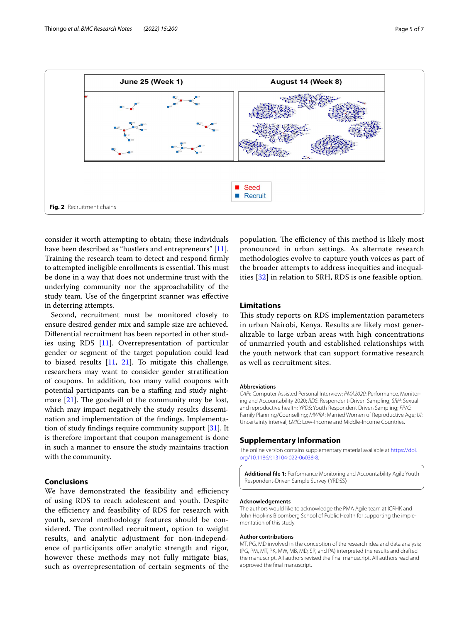

<span id="page-4-1"></span>consider it worth attempting to obtain; these individuals have been described as "hustlers and entrepreneurs" [\[11](#page-5-10)]. Training the research team to detect and respond frmly to attempted ineligible enrollments is essential. This must be done in a way that does not undermine trust with the underlying community nor the approachability of the study team. Use of the fngerprint scanner was efective in deterring attempts.

Second, recruitment must be monitored closely to ensure desired gender mix and sample size are achieved. Diferential recruitment has been reported in other studies using RDS [[11\]](#page-5-10). Overrepresentation of particular gender or segment of the target population could lead to biased results  $[11, 21]$  $[11, 21]$  $[11, 21]$  $[11, 21]$ . To mitigate this challenge, researchers may want to consider gender stratifcation of coupons. In addition, too many valid coupons with potential participants can be a staffing and study nightmare  $[21]$  $[21]$ . The goodwill of the community may be lost, which may impact negatively the study results dissemination and implementation of the fndings. Implementation of study fndings require community support [\[31](#page-6-1)]. It is therefore important that coupon management is done in such a manner to ensure the study maintains traction with the community.

# **Conclusions**

We have demonstrated the feasibility and efficiency of using RDS to reach adolescent and youth. Despite the efficiency and feasibility of RDS for research with youth, several methodology features should be considered. The controlled recruitment, option to weight results, and analytic adjustment for non-independence of participants offer analytic strength and rigor, however these methods may not fully mitigate bias, such as overrepresentation of certain segments of the

population. The efficiency of this method is likely most pronounced in urban settings. As alternate research methodologies evolve to capture youth voices as part of the broader attempts to address inequities and inequalities [[32](#page-6-2)] in relation to SRH, RDS is one feasible option.

# **Limitations**

This study reports on RDS implementation parameters in urban Nairobi, Kenya. Results are likely most generalizable to large urban areas with high concentrations of unmarried youth and established relationships with the youth network that can support formative research as well as recruitment sites.

#### **Abbreviations**

*CAPI*: Computer Assisted Personal Interview; *PMA2020*: Performance, Monitoring and Accountability 2020; *RDS*: Respondent-Driven Sampling; *SRH*: Sexual and reproductive health; *YRDS*: Youth Respondent Driven Sampling; *FP*/*C*: Family Planning/Counselling; *MWRA*: Married Women of Reproductive Age; *UI*: Uncertainty interval; *LMIC*: Low-Income and Middle-Income Countries.

# **Supplementary Information**

The online version contains supplementary material available at [https://doi.](https://doi.org/10.1186/s13104-022-06038-8) [org/10.1186/s13104-022-06038-8](https://doi.org/10.1186/s13104-022-06038-8).

<span id="page-4-0"></span>**Additional fle 1:** Performance Monitoring and Accountability Agile Youth Respondent-Driven Sample Survey (YRDSS**)**

#### **Acknowledgements**

The authors would like to acknowledge the PMA Agile team at ICRHK and John Hopkins Bloomberg School of Public Health for supporting the implementation of this study.

#### **Author contributions**

MT, PG, MD involved in the conception of the research idea and data analysis; (PG, PM, MT, PK, MW, MB, MD, SR, and PA) interpreted the results and drafted the manuscript. All authors revised the fnal manuscript. All authors read and approved the fnal manuscript.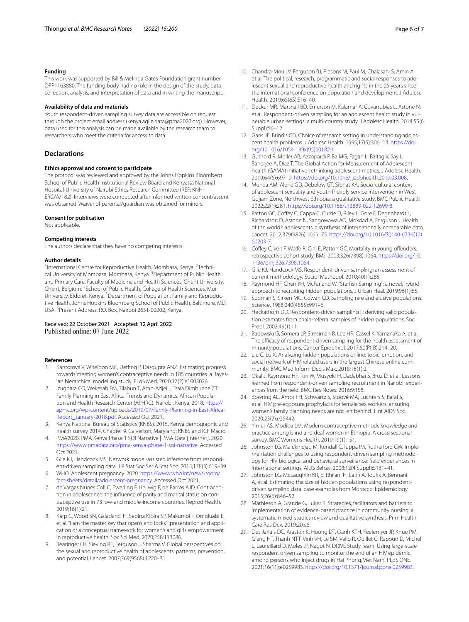#### **Funding**

This work was supported by Bill & Melinda Gates Foundation grant number OPP1163880. The funding body had no role in the design of the study, data collection, analysis, and interpretation of data and in writing the manuscript.

#### **Availability of data and materials**

Youth respondent-driven sampling survey data are accessible on request through the project email address (kenya.agile.data@pma2020.org). However, data used for this analysis can be made available by the research team to researchers who meet the criteria for access to data.

# **Declarations**

#### **Ethics approval and consent to participate**

The protocol was reviewed and approved by the Johns Hopkins Bloomberg School of Public Health Institutional Review Board and Kenyatta National Hospital-University of Nairobi Ethics Research Committee (REF: KNH-ERC/A/182). Interviews were conducted after informed written consent/assent was obtained. Waiver of parental/guardian was obtained for minors.

#### **Consent for publication**

Not applicable.

#### **Competing interests**

The authors declare that they have no competing interests.

#### **Author details**

<sup>1</sup> International Centre for Reproductive Health, Mombasa, Kenya. <sup>2</sup>Technical University of Mombasa, Mombasa, Kenya. <sup>3</sup> Department of Public Health and Primary Care, Faculty of Medicine and Health Sciences, Ghent University, Ghent, Belgium. <sup>4</sup> School of Public Health, College of Health Sciences, Moi University, Eldoret, Kenya. <sup>5</sup> Department of Population, Family and Reproductive Health, Johns Hopkins Bloomberg School of Public Health, Baltimore, MD, USA. <sup>6</sup>Present Address: P.O. Box, Nairobi 2631-00202, Kenya.

# Received: 22 October 2021 Accepted: 12 April 2022 Published online: 07 June 2022

#### **References**

- <span id="page-5-0"></span>1. Kantorová V, Wheldon MC, Ueffing P, Dasgupta ANZ. Estimating progress towards meeting women's contraceptive needs in 185 countries: a Bayesian hierarchical modelling study. PLoS Med. 2020;17(2):e1003026.
- <span id="page-5-1"></span>2. Izugbara CO, Wekesah FM, Tilahun T, Amo-Adjei J, Tsala Dimbuene ZT. Family Planning in East Africa: Trends and Dynamics. African Population and Health Research Center (APHRC), Nairobi, Kenya, 2018. [https://](https://aphrc.org/wp-content/uploads/2019/07/Family-Planning-in-East-Africa-Report_January-2018.pdf) [aphrc.org/wp-content/uploads/2019/07/Family-Planning-in-East-Africa-](https://aphrc.org/wp-content/uploads/2019/07/Family-Planning-in-East-Africa-Report_January-2018.pdf)[Report\\_January-2018.pdf](https://aphrc.org/wp-content/uploads/2019/07/Family-Planning-in-East-Africa-Report_January-2018.pdf). Accessed Oct 2021.
- <span id="page-5-2"></span>3. Kenya National Bureau of Statistics (KNBS). 2015. Kenya demographic and health survey 2014. Chapter 9. Calverton, Maryland: KNBS and ICF Macro.
- <span id="page-5-3"></span>4. PMA2020. PMA Kenya Phase 1 SOI Narrative | PMA Data [Internet]. 2020. <https://www.pmadata.org/pma-kenya-phase-1-soi-narrative>. Accessed Oct 2021.
- <span id="page-5-4"></span>5. Gile KJ, Handcock MS. Network model-assisted inference from respondent-driven sampling data. J R Stat Soc Ser A Stat Soc. 2015;178(3):619–39.
- <span id="page-5-5"></span>6. WHO. Adolescent pregnancy. 2020. [https://www.who.int/news-room/](https://www.who.int/news-room/fact-sheets/detail/adolescent-pregnancy) [fact-sheets/detail/adolescent-pregnancy.](https://www.who.int/news-room/fact-sheets/detail/adolescent-pregnancy) Accessed Oct 2021.
- <span id="page-5-6"></span>7. de Vargas Nunes Coll C, Ewerling F, Hellwig F, de Barros AJD. Contraception in adolescence: the infuence of parity and marital status on contraceptive use in 73 low-and middle-income countries. Reprod Health. 2019;16(1):21.
- <span id="page-5-7"></span>8. Karp C, Wood SN, Galadanci H, Sebina Kibira SP, Makumbi F, Omoluabi E, et al. "I am the master key that opens and locks": presentation and application of a conceptual framework for women's and girls' empowerment in reproductive health. Soc Sci Med. 2020;258:113086.
- <span id="page-5-8"></span>9. Bearinger LH, Sieving RE, Ferguson J, Sharma V. Global perspectives on the sexual and reproductive health of adolescents: patterns, prevention, and potential. Lancet. 2007;369(9568):1220–31.
- <span id="page-5-9"></span>10. Chandra-Mouli V, Ferguson BJ, Plesons M, Paul M, Chalasani S, Amin A, et al. The political, research, programmatic and social responses to adolescent sexual and reproductive health and rights in the 25 years since the international conference on population and development. J Adolesc Health. 2019;65(6S):S16–40.
- <span id="page-5-10"></span>11. Decker MR, Marshall BD, Emerson M, Kalamar A, Covarrubias L, Astone N, et al. Respondent-driven sampling for an adolescent health study in vulnerable urban settings: a multi-country study. J Adolesc Health. 2014;55(6 Suppl):S6–12.
- 12. Gans JE, Brindis CD. Choice of research setting in understanding adolescent health problems. J Adolesc Health. 1995;17(5):306–13. [https://doi.](https://doi.org/10.1016/1054-139x(95)00182-r) [org/10.1016/1054-139x\(95\)00182-r](https://doi.org/10.1016/1054-139x(95)00182-r).
- 13. Guthold R, Moller AB, Azzopardi P, Ba MG, Fagan L, Baltag V, Say L, Banerjee A, Diaz T. The Global Action for Measurement of Adolescent health (GAMA) initiative-rethinking adolescent metrics. J Adolesc Health. 2019;64(6):697–9. [https://doi.org/10.1016/j.jadohealth.2019.03.008.](https://doi.org/10.1016/j.jadohealth.2019.03.008)
- 14. Munea AM, Alene GD, Debelew GT, Sibhat KA. Socio-cultural context of adolescent sexuality and youth friendly service intervention in West Gojjam Zone, Northwest Ethiopia: a qualitative study. BMC Public Health. 2022;22(1):281. <https://doi.org/10.1186/s12889-022-12699-8>.
- 15. Patton GC, Coffey C, Cappa C, Currie D, Riley L, Gore F, Degenhardt L, Richardson D, Astone N, Sangowawa AO, Mokdad A, Ferguson J. Health of the world's adolescents: a synthesis of internationally comparable data. Lancet. 2012;379(9826):1665–75. [https://doi.org/10.1016/S0140-6736\(12\)](https://doi.org/10.1016/S0140-6736(12)60203-7) [60203-7.](https://doi.org/10.1016/S0140-6736(12)60203-7)
- <span id="page-5-11"></span>16. Coffey C, Veit F, Wolfe R, Cini E, Patton GC. Mortality in young offenders: retrospective cohort study. BMJ. 2003;326(7398):1064. [https://doi.org/10.](https://doi.org/10.1136/bmj.326.7398.1064.) [1136/bmj.326.7398.1064.](https://doi.org/10.1136/bmj.326.7398.1064.)
- <span id="page-5-12"></span>17. Gile KJ, Handcock MS. Respondent-driven sampling: an assessment of current methodology. Sociol Methodol. 2010;40(1):285.
- <span id="page-5-14"></span>18. Raymond HF, Chen YH, McFarland W. "Starfsh Sampling": a novel, hybrid approach to recruiting hidden populations. J Urban Heal. 2019;96(1):55.
- <span id="page-5-13"></span>19. Sudman S, Sirken MG, Cowan CD. Sampling rare and elusive populations. Science. 1988;240(4855):991–6.
- <span id="page-5-15"></span>20. Heckathorn DD. Respondent-driven sampling II: deriving valid population estimates from chain-referral samples of hidden populations. Soc Probl. 2002;49(1):11.
- <span id="page-5-16"></span>21. Badowski G, Somera LP, Simsiman B, Lee HR, Cassel K, Yamanaka A, et al. The efficacy of respondent-driven sampling for the health assessment of minority populations. Cancer Epidemiol. 2017;50(Pt B):214–20.
- 22. Liu C, Lu X. Analyzing hidden populations online: topic, emotion, and social network of HIV-related users in the largest Chinese online community. BMC Med Inform Decis Mak. 2018;18(1):2.
- <span id="page-5-17"></span>23. Okal J, Raymond HF, Tun W, Musyoki H, Dadabhai S, Broz D, et al. Lessons learned from respondent-driven sampling recruitment in Nairobi: experiences from the feld. BMC Res Notes. 2016;9:158.
- <span id="page-5-18"></span>24. Bowring AL, Ampt FH, Schwartz S, Stoové MA, Luchters S, Baral S, et al. HIV pre-exposure prophylaxis for female sex workers: ensuring women's family planning needs are not left behind. J Int AIDS Soc. 2020;23(2):e25442.
- <span id="page-5-19"></span>25. Yimer AS, Modiba LM. Modern contraceptive methods knowledge and practice among blind and deaf women in Ethiopia .A cross-sectional survey. BMC Womens Health. 2019;19(1):151.
- <span id="page-5-20"></span>26. Johnston LG, Malekinejad M, Kendall C, Iuppa IM, Rutherford GW. Implementation challenges to using respondent-driven sampling methodology for HIV biological and behavioral surveillance: feld experiences in international settings. AIDS Behav. 2008;12(4 Suppl):S131–41.
- <span id="page-5-21"></span>27. Johnston LG, McLaughlin KR, El Rhilani H, Latif A, Toufk A, Bennani A, et al. Estimating the size of hidden populations using respondentdriven sampling data: case examples from Morocco. Epidemiology. 2015;26(6):846–52.
- <span id="page-5-22"></span>28. Mathieson A, Grande G, Luker K. Strategies, facilitators and barriers to implementation of evidence-based practice in community nursing: a systematic mixed-studies review and qualitative synthesis. Prim Health Care Res Dev. 2019;20:e6.
- <span id="page-5-23"></span>29. Des Jarlais DC, Arasteh K, Huong DT, Oanh KTH, Feelemyer JP, Khue PM, Giang HT, Thanh NTT, Vinh VH, Le SM, Vallo R, Quillet C, Rapoud D, Michel L, Laureillard D, Moles JP, Nagot N, DRIVE Study Team. Using large-scale respondent driven sampling to monitor the end of an HIV epidemic among persons who inject drugs in Hai Phong, Viet Nam. PLoS ONE. 2021;16(11):e0259983. <https://doi.org/10.1371/journal.pone.0259983>.